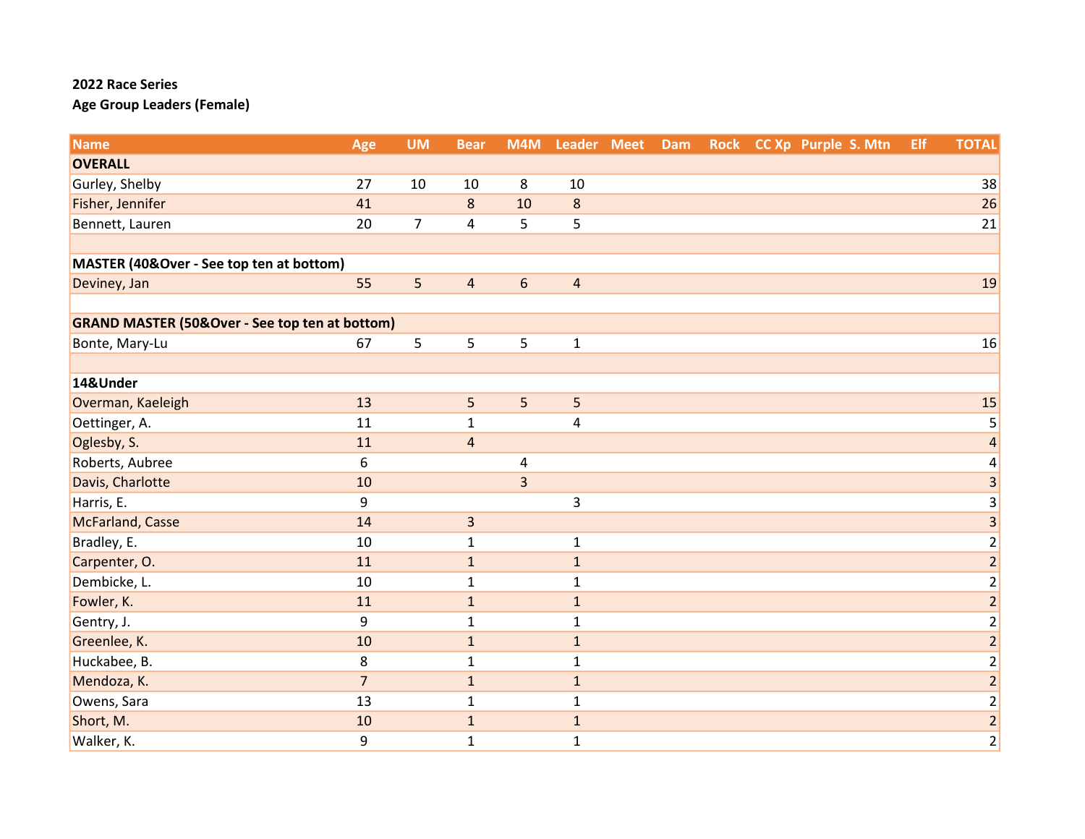| <b>Name</b>                                               | Age            | <b>UM</b>      | <b>Bear</b>             | M4M              | Leader Meet    | <b>Dam</b> |  | Rock CC Xp Purple S. Mtn | Elf | <b>TOTAL</b>            |
|-----------------------------------------------------------|----------------|----------------|-------------------------|------------------|----------------|------------|--|--------------------------|-----|-------------------------|
| <b>OVERALL</b>                                            |                |                |                         |                  |                |            |  |                          |     |                         |
| Gurley, Shelby                                            | 27             | 10             | 10                      | 8                | 10             |            |  |                          |     | 38                      |
| Fisher, Jennifer                                          | 41             |                | $\bf 8$                 | 10               | $\bf 8$        |            |  |                          |     | 26                      |
| Bennett, Lauren                                           | 20             | $\overline{7}$ | $\overline{\mathbf{4}}$ | 5                | 5              |            |  |                          |     | 21                      |
|                                                           |                |                |                         |                  |                |            |  |                          |     |                         |
| MASTER (40&Over - See top ten at bottom)                  |                |                |                         |                  |                |            |  |                          |     |                         |
| Deviney, Jan                                              | 55             | 5              | $\overline{4}$          | $\boldsymbol{6}$ | $\sqrt{4}$     |            |  |                          |     | 19                      |
|                                                           |                |                |                         |                  |                |            |  |                          |     |                         |
| <b>GRAND MASTER (50&amp;Over - See top ten at bottom)</b> |                |                |                         |                  |                |            |  |                          |     |                         |
| Bonte, Mary-Lu                                            | 67             | 5              | 5                       | 5                | $\mathbf{1}$   |            |  |                          |     | 16                      |
|                                                           |                |                |                         |                  |                |            |  |                          |     |                         |
| 14&Under                                                  |                |                |                         |                  |                |            |  |                          |     |                         |
| Overman, Kaeleigh                                         | 13             |                | 5                       | 5                | 5              |            |  |                          |     | 15                      |
| Oettinger, A.                                             | 11             |                | $\mathbf 1$             |                  | $\overline{4}$ |            |  |                          |     | 5                       |
| Oglesby, S.                                               | 11             |                | $\overline{4}$          |                  |                |            |  |                          |     | $\overline{\mathbf{r}}$ |
| Roberts, Aubree                                           | 6              |                |                         | 4                |                |            |  |                          |     | 4                       |
| Davis, Charlotte                                          | 10             |                |                         | $\overline{3}$   |                |            |  |                          |     | 3                       |
| Harris, E.                                                | 9              |                |                         |                  | 3              |            |  |                          |     | 3                       |
| McFarland, Casse                                          | 14             |                | $\mathsf 3$             |                  |                |            |  |                          |     | $\overline{3}$          |
| Bradley, E.                                               | 10             |                | $\mathbf{1}$            |                  | $\mathbf{1}$   |            |  |                          |     | $\frac{2}{2}$           |
| Carpenter, O.                                             | 11             |                | $\mathbf 1$             |                  | $\mathbf 1$    |            |  |                          |     |                         |
| Dembicke, L.                                              | 10             |                | $\mathbf{1}$            |                  | $\mathbf{1}$   |            |  |                          |     | $\overline{2}$          |
| Fowler, K.                                                | 11             |                | $\mathbf 1$             |                  | $\mathbf{1}$   |            |  |                          |     | $\overline{2}$          |
| Gentry, J.                                                | 9              |                | $\mathbf{1}$            |                  | $\mathbf{1}$   |            |  |                          |     | $\overline{\mathbf{c}}$ |
| Greenlee, K.                                              | 10             |                | $\mathbf{1}$            |                  | $\mathbf{1}$   |            |  |                          |     | $\overline{2}$          |
| Huckabee, B.                                              | 8              |                | $\mathbf 1$             |                  | $\mathbf{1}$   |            |  |                          |     | $\overline{c}$          |
| Mendoza, K.                                               | $\overline{7}$ |                | $\mathbf 1$             |                  | $\mathbf 1$    |            |  |                          |     | $\frac{2}{2}$           |
| Owens, Sara                                               | 13             |                | $\mathbf{1}$            |                  | $\mathbf{1}$   |            |  |                          |     |                         |
| Short, M.                                                 | 10             |                | $\mathbf 1$             |                  | $\mathbf{1}$   |            |  |                          |     | $\frac{2}{2}$           |
| Walker, K.                                                | 9              |                | $\mathbf{1}$            |                  | $\mathbf{1}$   |            |  |                          |     |                         |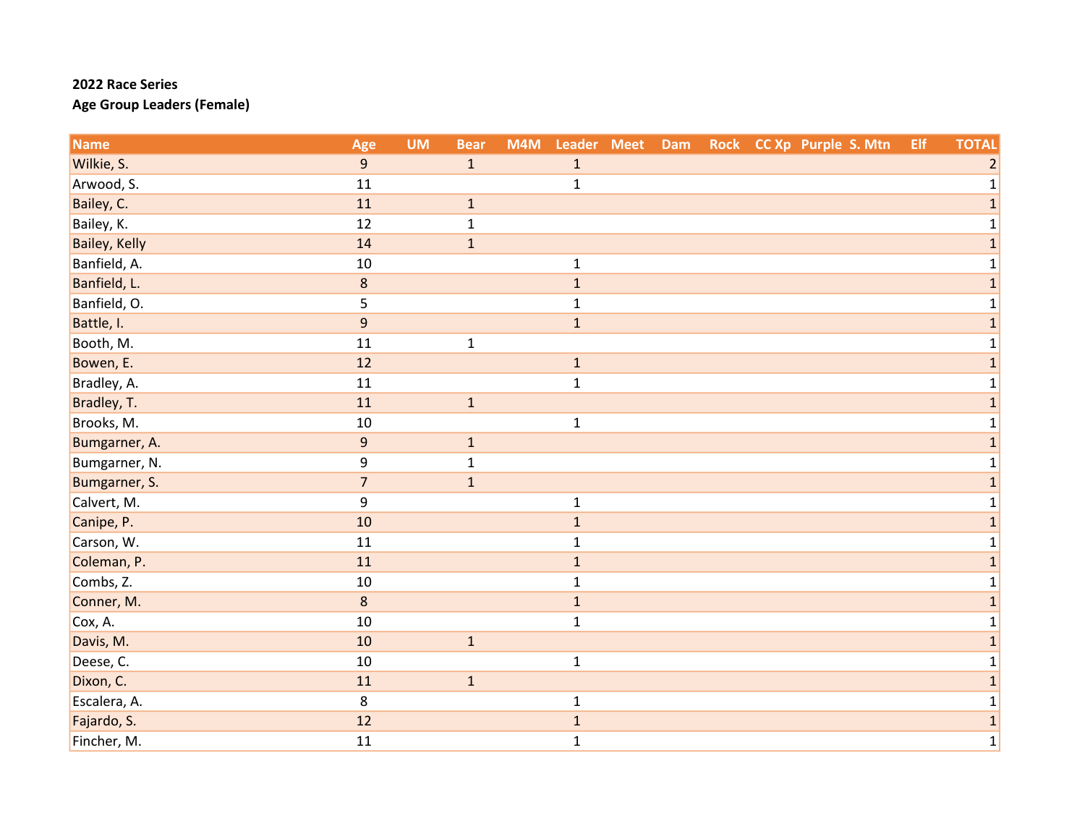| <b>Name</b>          | Age            | <b>UM</b> | <b>Bear</b>  | M4M | Leader Meet Dam |  |  | Rock CC Xp Purple S. Mtn | Elf | <b>TOTAL</b>   |
|----------------------|----------------|-----------|--------------|-----|-----------------|--|--|--------------------------|-----|----------------|
| Wilkie, S.           | $\overline{9}$ |           | $\mathbf{1}$ |     | $\mathbf{1}$    |  |  |                          |     | $\overline{2}$ |
| Arwood, S.           | 11             |           |              |     | $\mathbf 1$     |  |  |                          |     | 1              |
| Bailey, C.           | 11             |           | $\mathbf 1$  |     |                 |  |  |                          |     | $\mathbf{1}$   |
| Bailey, K.           | 12             |           | $\mathbf{1}$ |     |                 |  |  |                          |     | 1              |
| <b>Bailey, Kelly</b> | 14             |           | $\mathbf{1}$ |     |                 |  |  |                          |     | 1              |
| Banfield, A.         | 10             |           |              |     | $\mathbf{1}$    |  |  |                          |     | $\mathbf 1$    |
| Banfield, L.         | $\bf 8$        |           |              |     | $\mathbf{1}$    |  |  |                          |     | 1              |
| Banfield, O.         | 5              |           |              |     | $\mathbf{1}$    |  |  |                          |     | 1              |
| Battle, I.           | 9              |           |              |     | $\mathbf 1$     |  |  |                          |     | $\overline{1}$ |
| Booth, M.            | 11             |           | $\mathbf{1}$ |     |                 |  |  |                          |     | 1              |
| Bowen, E.            | 12             |           |              |     | $\mathbf{1}$    |  |  |                          |     | $\mathbf{1}$   |
| Bradley, A.          | 11             |           |              |     | $\mathbf{1}$    |  |  |                          |     | 1              |
| Bradley, T.          | 11             |           | $\mathbf 1$  |     |                 |  |  |                          |     | 1              |
| Brooks, M.           | 10             |           |              |     | $\mathbf{1}$    |  |  |                          |     |                |
| Bumgarner, A.        | $\overline{9}$ |           | $\mathbf{1}$ |     |                 |  |  |                          |     | 1              |
| Bumgarner, N.        | 9              |           | $\mathbf{1}$ |     |                 |  |  |                          |     | 1              |
| Bumgarner, S.        | $\overline{7}$ |           | $\mathbf{1}$ |     |                 |  |  |                          |     | $\mathbf{1}$   |
| Calvert, M.          | 9              |           |              |     | $\mathbf 1$     |  |  |                          |     | $\mathbf 1$    |
| Canipe, P.           | 10             |           |              |     | $\mathbf 1$     |  |  |                          |     | 1              |
| Carson, W.           | 11             |           |              |     | $\mathbf{1}$    |  |  |                          |     | 1              |
| Coleman, P.          | 11             |           |              |     | $\mathbf 1$     |  |  |                          |     | $\mathbf{1}$   |
| Combs, Z.            | 10             |           |              |     | $\mathbf{1}$    |  |  |                          |     | 1              |
| Conner, M.           | 8              |           |              |     | $\mathbf{1}$    |  |  |                          |     | $\mathbf{1}$   |
| Cox, A.              | 10             |           |              |     | $\mathbf{1}$    |  |  |                          |     | 1              |
| Davis, M.            | 10             |           | $\mathbf 1$  |     |                 |  |  |                          |     | $\mathbf{1}$   |
| Deese, C.            | 10             |           |              |     | $\mathbf 1$     |  |  |                          |     | 1              |
| Dixon, C.            | 11             |           | $\mathbf 1$  |     |                 |  |  |                          |     | $\mathbf{1}$   |
| Escalera, A.         | 8              |           |              |     | $\mathbf{1}$    |  |  |                          |     | 1              |
| Fajardo, S.          | 12             |           |              |     | $\mathbf 1$     |  |  |                          |     | $\mathbf{1}$   |
| Fincher, M.          | 11             |           |              |     | $\mathbf{1}$    |  |  |                          |     | $\mathbf 1$    |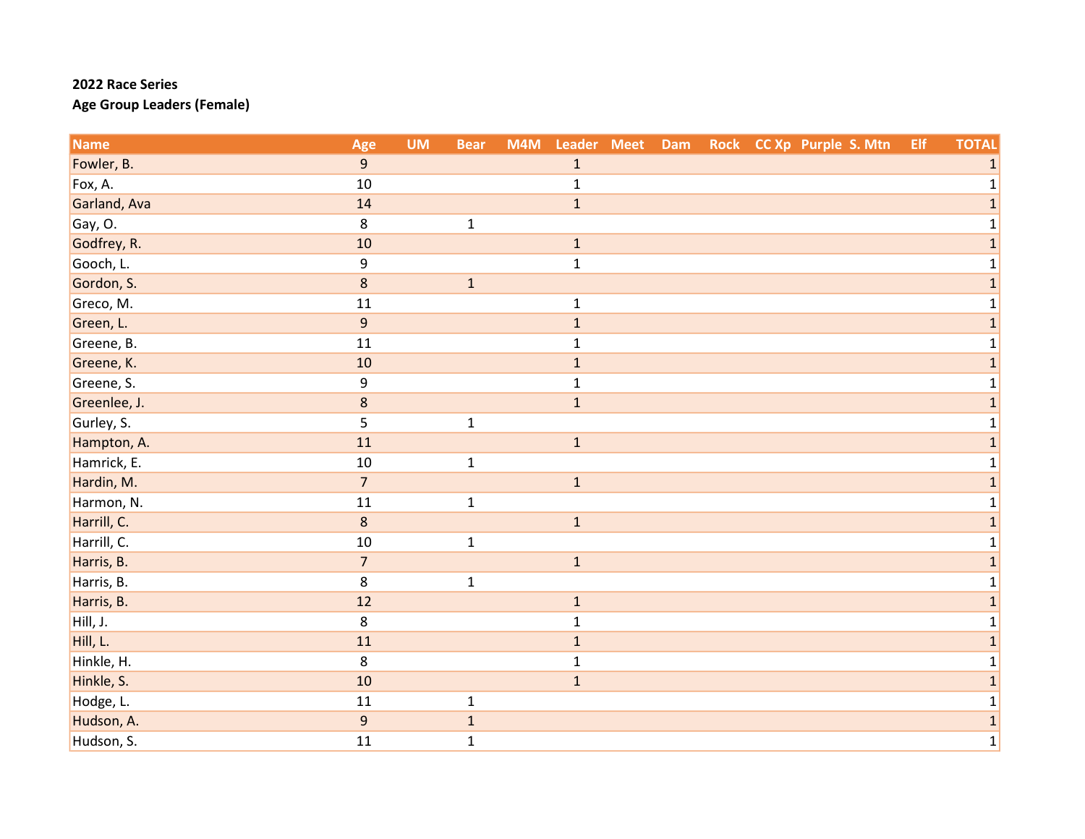| <b>Name</b>  | Age            | <b>UM</b> | <b>Bear</b>  | M4M | Leader Meet  | Dam |  | Rock CC Xp Purple S. Mtn | Elf | <b>TOTAL</b> |
|--------------|----------------|-----------|--------------|-----|--------------|-----|--|--------------------------|-----|--------------|
| Fowler, B.   | 9              |           |              |     | $1\,$        |     |  |                          |     | $\mathbf{1}$ |
| Fox, A.      | $10\,$         |           |              |     | $\mathbf 1$  |     |  |                          |     | 1            |
| Garland, Ava | 14             |           |              |     | $\mathbf{1}$ |     |  |                          |     | $\mathbf{1}$ |
| Gay, O.      | 8              |           | $\mathbf{1}$ |     |              |     |  |                          |     | 1            |
| Godfrey, R.  | 10             |           |              |     | $\mathbf{1}$ |     |  |                          |     | 1            |
| Gooch, L.    | 9              |           |              |     | $\mathbf 1$  |     |  |                          |     | $\mathbf 1$  |
| Gordon, S.   | $\bf 8$        |           | $\mathbf 1$  |     |              |     |  |                          |     | $\mathbf{1}$ |
| Greco, M.    | 11             |           |              |     | $\mathbf 1$  |     |  |                          |     | 1            |
| Green, L.    | $\overline{9}$ |           |              |     | $\mathbf 1$  |     |  |                          |     | $\mathbf{1}$ |
| Greene, B.   | 11             |           |              |     | $\mathbf{1}$ |     |  |                          |     | 1            |
| Greene, K.   | 10             |           |              |     | $\mathbf{1}$ |     |  |                          |     | $\mathbf{1}$ |
| Greene, S.   | 9              |           |              |     | $\mathbf 1$  |     |  |                          |     | 1            |
| Greenlee, J. | $\bf 8$        |           |              |     | $\mathbf{1}$ |     |  |                          |     | $\mathbf{1}$ |
| Gurley, S.   | 5              |           | $\mathbf 1$  |     |              |     |  |                          |     |              |
| Hampton, A.  | 11             |           |              |     | $\mathbf 1$  |     |  |                          |     | $\mathbf{1}$ |
| Hamrick, E.  | 10             |           | $\mathbf 1$  |     |              |     |  |                          |     | $\mathbf 1$  |
| Hardin, M.   | $\overline{7}$ |           |              |     | $\mathbf{1}$ |     |  |                          |     | $\mathbf{1}$ |
| Harmon, N.   | 11             |           | $\mathbf 1$  |     |              |     |  |                          |     | 1            |
| Harrill, C.  | $\bf 8$        |           |              |     | $\mathbf{1}$ |     |  |                          |     | $\mathbf{1}$ |
| Harrill, C.  | 10             |           | $\mathbf{1}$ |     |              |     |  |                          |     | $\mathbf{1}$ |
| Harris, B.   | $\overline{7}$ |           |              |     | $\mathbf 1$  |     |  |                          |     | $\mathbf{1}$ |
| Harris, B.   | 8              |           | $\mathbf 1$  |     |              |     |  |                          |     | 1            |
| Harris, B.   | 12             |           |              |     | $\mathbf{1}$ |     |  |                          |     | $\mathbf{1}$ |
| Hill, J.     | 8              |           |              |     | $\mathbf 1$  |     |  |                          |     | 1            |
| Hill, L.     | 11             |           |              |     | $\mathbf{1}$ |     |  |                          |     | $\mathbf{1}$ |
| Hinkle, H.   | 8              |           |              |     | $\mathbf 1$  |     |  |                          |     | 1            |
| Hinkle, S.   | 10             |           |              |     | $\mathbf{1}$ |     |  |                          |     | $\mathbf{1}$ |
| Hodge, L.    | 11             |           | $\mathbf 1$  |     |              |     |  |                          |     | $\mathbf{1}$ |
| Hudson, A.   | $\overline{9}$ |           | $\mathbf 1$  |     |              |     |  |                          |     | $\mathbf 1$  |
| Hudson, S.   | 11             |           | $\mathbf 1$  |     |              |     |  |                          |     | $\mathbf 1$  |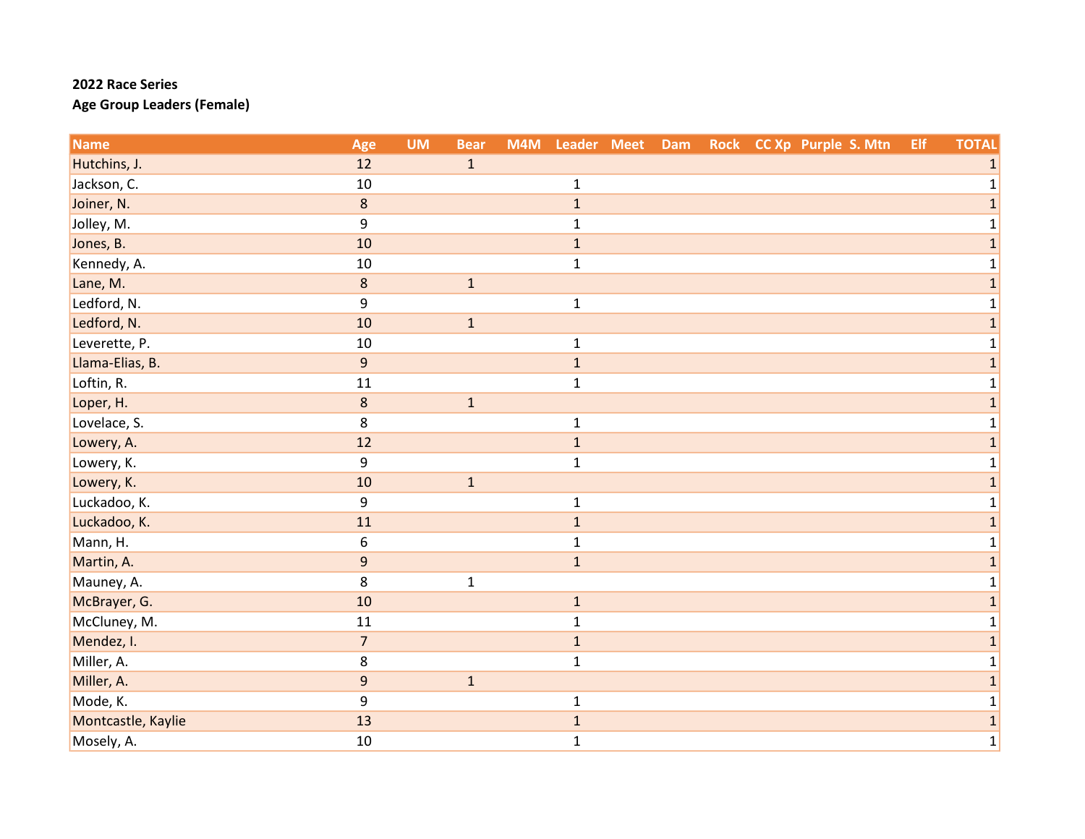| <b>Name</b>        | Age              | <b>UM</b> | <b>Bear</b>  | M4M | Leader Meet  | Dam |  | Rock CC Xp Purple S. Mtn | Elf | <b>TOTAL</b>   |
|--------------------|------------------|-----------|--------------|-----|--------------|-----|--|--------------------------|-----|----------------|
| Hutchins, J.       | 12               |           | $\mathbf{1}$ |     |              |     |  |                          |     | 1              |
| Jackson, C.        | 10               |           |              |     | $\mathbf 1$  |     |  |                          |     |                |
| Joiner, N.         | $\bf 8$          |           |              |     | $\mathbf{1}$ |     |  |                          |     | 1              |
| Jolley, M.         | 9                |           |              |     | $\mathbf{1}$ |     |  |                          |     |                |
| Jones, B.          | 10               |           |              |     | $\mathbf{1}$ |     |  |                          |     | 1              |
| Kennedy, A.        | 10               |           |              |     | $\mathbf{1}$ |     |  |                          |     | $\mathbf{1}$   |
| Lane, M.           | $\bf 8$          |           | $\mathbf{1}$ |     |              |     |  |                          |     | 1              |
| Ledford, N.        | 9                |           |              |     | $\mathbf 1$  |     |  |                          |     | 1              |
| Ledford, N.        | 10               |           | $\mathbf{1}$ |     |              |     |  |                          |     | $\mathbf{1}$   |
| Leverette, P.      | 10               |           |              |     | $\mathbf{1}$ |     |  |                          |     | 1              |
| Llama-Elias, B.    | 9                |           |              |     | $\mathbf{1}$ |     |  |                          |     | $\mathbf{1}$   |
| Loftin, R.         | 11               |           |              |     | $\mathbf 1$  |     |  |                          |     |                |
| Loper, H.          | 8                |           | $1\,$        |     |              |     |  |                          |     | 1              |
| Lovelace, S.       | 8                |           |              |     | $\mathbf 1$  |     |  |                          |     |                |
| Lowery, A.         | 12               |           |              |     | $\mathbf 1$  |     |  |                          |     | 1              |
| Lowery, K.         | 9                |           |              |     | $\mathbf 1$  |     |  |                          |     | 1              |
| Lowery, K.         | 10               |           | $\mathbf{1}$ |     |              |     |  |                          |     | 1              |
| Luckadoo, K.       | 9                |           |              |     | $\mathbf{1}$ |     |  |                          |     | 1              |
| Luckadoo, K.       | 11               |           |              |     | $\mathbf 1$  |     |  |                          |     |                |
| Mann, H.           | 6                |           |              |     | $\mathbf{1}$ |     |  |                          |     | 1              |
| Martin, A.         | $\overline{9}$   |           |              |     | $\mathbf{1}$ |     |  |                          |     | $\overline{1}$ |
| Mauney, A.         | 8                |           | $\mathbf 1$  |     |              |     |  |                          |     | 1              |
| McBrayer, G.       | 10               |           |              |     | $\mathbf 1$  |     |  |                          |     | $\mathbf{1}$   |
| McCluney, M.       | 11               |           |              |     | $\mathbf{1}$ |     |  |                          |     |                |
| Mendez, I.         | $\overline{7}$   |           |              |     | $\mathbf{1}$ |     |  |                          |     | 1              |
| Miller, A.         | 8                |           |              |     | $\mathbf 1$  |     |  |                          |     | 1              |
| Miller, A.         | $\boldsymbol{9}$ |           | $\mathbf{1}$ |     |              |     |  |                          |     | 1              |
| Mode, K.           | 9                |           |              |     | $\mathbf 1$  |     |  |                          |     | $\mathbf{1}$   |
| Montcastle, Kaylie | 13               |           |              |     | $\mathbf 1$  |     |  |                          |     | 1              |
| Mosely, A.         | 10               |           |              |     | $\mathbf 1$  |     |  |                          |     | $\mathbf 1$    |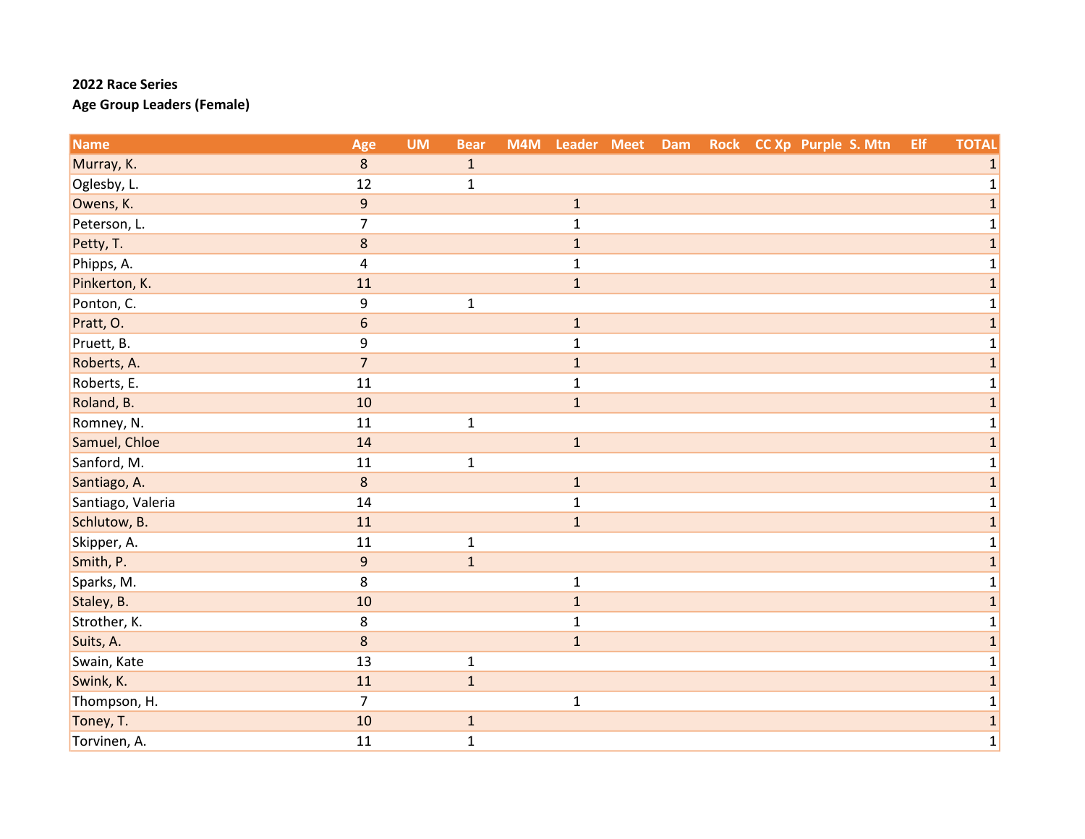| <b>Name</b>       | Age                     | <b>UM</b> | <b>Bear</b>  | M4M | Leader Meet  | Dam |  | Rock CC Xp Purple S. Mtn | Elf | <b>TOTAL</b> |
|-------------------|-------------------------|-----------|--------------|-----|--------------|-----|--|--------------------------|-----|--------------|
| Murray, K.        | $8\phantom{1}$          |           | $\mathbf{1}$ |     |              |     |  |                          |     | 1            |
| Oglesby, L.       | 12                      |           | $\mathbf{1}$ |     |              |     |  |                          |     |              |
| Owens, K.         | $\overline{9}$          |           |              |     | $\mathbf{1}$ |     |  |                          |     | $\mathbf{1}$ |
| Peterson, L.      | $\overline{7}$          |           |              |     | $\mathbf{1}$ |     |  |                          |     | 1            |
| Petty, T.         | $\bf 8$                 |           |              |     | $1\,$        |     |  |                          |     | 1            |
| Phipps, A.        | $\overline{\mathbf{4}}$ |           |              |     | $\mathbf{1}$ |     |  |                          |     | $\mathbf 1$  |
| Pinkerton, K.     | 11                      |           |              |     | $\mathbf{1}$ |     |  |                          |     | $\mathbf{1}$ |
| Ponton, C.        | 9                       |           | $\mathbf{1}$ |     |              |     |  |                          |     | 1            |
| Pratt, O.         | $\boldsymbol{6}$        |           |              |     | $\mathbf{1}$ |     |  |                          |     | 1            |
| Pruett, B.        | 9                       |           |              |     | $\mathbf{1}$ |     |  |                          |     | 1            |
| Roberts, A.       | $\overline{7}$          |           |              |     | $1\,$        |     |  |                          |     | $\mathbf{1}$ |
| Roberts, E.       | 11                      |           |              |     | $\mathbf{1}$ |     |  |                          |     | 1            |
| Roland, B.        | 10                      |           |              |     | $\mathbf{1}$ |     |  |                          |     | $\mathbf{1}$ |
| Romney, N.        | 11                      |           | $\mathbf{1}$ |     |              |     |  |                          |     |              |
| Samuel, Chloe     | 14                      |           |              |     | $\mathbf{1}$ |     |  |                          |     | 1            |
| Sanford, M.       | 11                      |           | $\mathbf{1}$ |     |              |     |  |                          |     | 1            |
| Santiago, A.      | $8\phantom{1}$          |           |              |     | $\mathbf{1}$ |     |  |                          |     | $\mathbf{1}$ |
| Santiago, Valeria | 14                      |           |              |     | $\mathbf{1}$ |     |  |                          |     | 1            |
| Schlutow, B.      | 11                      |           |              |     | $\mathbf{1}$ |     |  |                          |     |              |
| Skipper, A.       | 11                      |           | $\mathbf{1}$ |     |              |     |  |                          |     | $\mathbf{1}$ |
| Smith, P.         | $9$                     |           | $\mathbf{1}$ |     |              |     |  |                          |     | 1            |
| Sparks, M.        | 8                       |           |              |     | $\mathbf{1}$ |     |  |                          |     | 1            |
| Staley, B.        | 10                      |           |              |     | $1\,$        |     |  |                          |     | $\mathbf{1}$ |
| Strother, K.      | 8                       |           |              |     | $\mathbf{1}$ |     |  |                          |     | 1            |
| Suits, A.         | 8                       |           |              |     | $\mathbf{1}$ |     |  |                          |     | 1            |
| Swain, Kate       | 13                      |           | $\mathbf{1}$ |     |              |     |  |                          |     | 1            |
| Swink, K.         | 11                      |           | $\mathbf{1}$ |     |              |     |  |                          |     | $\mathbf{1}$ |
| Thompson, H.      | $\overline{7}$          |           |              |     | $\mathbf{1}$ |     |  |                          |     | 1            |
| Toney, T.         | 10                      |           | $\mathbf{1}$ |     |              |     |  |                          |     | $\mathbf 1$  |
| Torvinen, A.      | 11                      |           | $\mathbf{1}$ |     |              |     |  |                          |     | $\mathbf 1$  |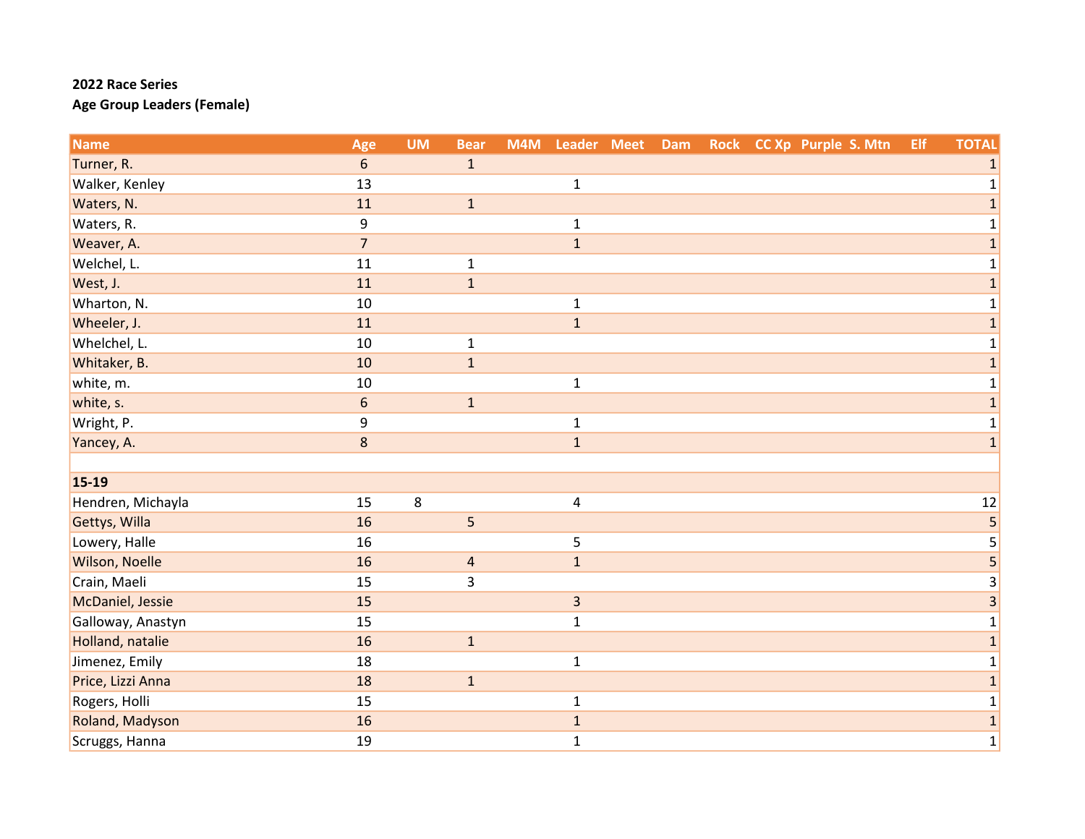| <b>Name</b>       | Age            | <b>UM</b> | <b>Bear</b>             | M4M |                         | Leader Meet Dam |  | Rock CC Xp Purple S. Mtn | Elf | <b>TOTAL</b>            |
|-------------------|----------------|-----------|-------------------------|-----|-------------------------|-----------------|--|--------------------------|-----|-------------------------|
| Turner, R.        | 6              |           | $\mathbf{1}$            |     |                         |                 |  |                          |     | $\mathbf{1}$            |
| Walker, Kenley    | 13             |           |                         |     | $\mathbf 1$             |                 |  |                          |     | $\mathbf{1}$            |
| Waters, N.        | 11             |           | $\mathbf 1$             |     |                         |                 |  |                          |     | $\mathbf{1}$            |
| Waters, R.        | 9              |           |                         |     | $\mathbf{1}$            |                 |  |                          |     | $\mathbf 1$             |
| Weaver, A.        | $\overline{7}$ |           |                         |     | $\mathbf{1}$            |                 |  |                          |     | $\mathbf 1$             |
| Welchel, L.       | 11             |           | $\mathbf{1}$            |     |                         |                 |  |                          |     | $\mathbf{1}$            |
| West, J.          | 11             |           | $\mathbf 1$             |     |                         |                 |  |                          |     | $\mathbf{1}$            |
| Wharton, N.       | 10             |           |                         |     | $\mathbf 1$             |                 |  |                          |     | $\mathbf 1$             |
| Wheeler, J.       | 11             |           |                         |     | $\mathbf{1}$            |                 |  |                          |     | $\mathbf{1}$            |
| Whelchel, L.      | 10             |           | $\mathbf{1}$            |     |                         |                 |  |                          |     | 1                       |
| Whitaker, B.      | 10             |           | $\mathbf 1$             |     |                         |                 |  |                          |     | $\mathbf{1}$            |
| white, m.         | 10             |           |                         |     | $\mathbf 1$             |                 |  |                          |     | 1                       |
| white, s.         | $6\phantom{1}$ |           | $\mathbf{1}$            |     |                         |                 |  |                          |     | $\mathbf{1}$            |
| Wright, P.        | 9              |           |                         |     | $\mathbf 1$             |                 |  |                          |     | $\mathbf 1$             |
| Yancey, A.        | $\bf 8$        |           |                         |     | $\mathbf{1}$            |                 |  |                          |     | $\mathbf 1$             |
|                   |                |           |                         |     |                         |                 |  |                          |     |                         |
| 15-19             |                |           |                         |     |                         |                 |  |                          |     |                         |
| Hendren, Michayla | 15             | 8         |                         |     | $\overline{\mathbf{4}}$ |                 |  |                          |     | 12                      |
| Gettys, Willa     | 16             |           | 5                       |     |                         |                 |  |                          |     | 5                       |
| Lowery, Halle     | 16             |           |                         |     | 5                       |                 |  |                          |     | 5                       |
| Wilson, Noelle    | 16             |           | $\overline{\mathbf{4}}$ |     | $\mathbf{1}$            |                 |  |                          |     | $\overline{\mathbf{5}}$ |
| Crain, Maeli      | 15             |           | $\overline{3}$          |     |                         |                 |  |                          |     | 3                       |
| McDaniel, Jessie  | 15             |           |                         |     | $\overline{\mathbf{3}}$ |                 |  |                          |     | 3                       |
| Galloway, Anastyn | 15             |           |                         |     | $\mathbf{1}$            |                 |  |                          |     | 1                       |
| Holland, natalie  | 16             |           | $\mathbf 1$             |     |                         |                 |  |                          |     | $\mathbf{1}$            |
| Jimenez, Emily    | 18             |           |                         |     | $\mathbf{1}$            |                 |  |                          |     | $\mathbf 1$             |
| Price, Lizzi Anna | 18             |           | $\mathbf{1}$            |     |                         |                 |  |                          |     | $\mathbf{1}$            |
| Rogers, Holli     | 15             |           |                         |     | $\mathbf{1}$            |                 |  |                          |     | $\mathbf{1}$            |
| Roland, Madyson   | 16             |           |                         |     | $\mathbf 1$             |                 |  |                          |     | $\mathbf 1$             |
| Scruggs, Hanna    | 19             |           |                         |     | $\mathbf{1}$            |                 |  |                          |     | $\mathbf 1$             |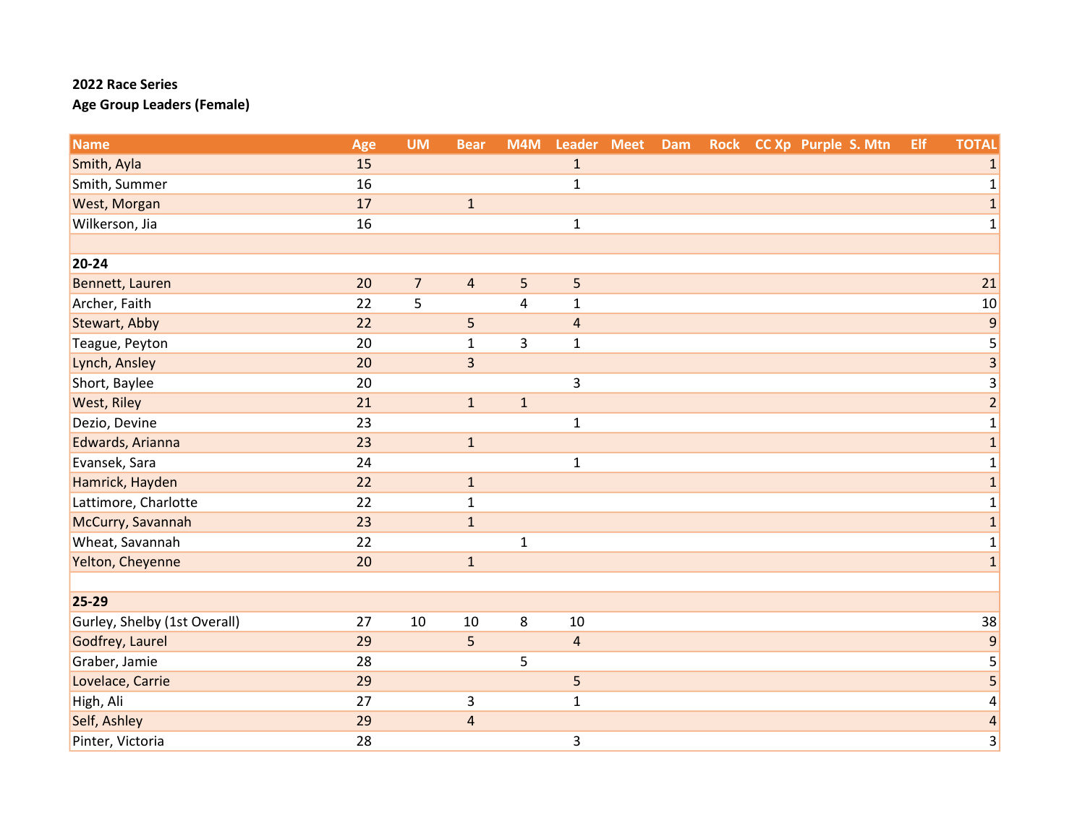| <b>Name</b>                  | Age | <b>UM</b>      | <b>Bear</b>             | M4M                     | Leader Meet             | <b>Dam</b> |  | Rock CC Xp Purple S. Mtn | Elf | <b>TOTAL</b>            |
|------------------------------|-----|----------------|-------------------------|-------------------------|-------------------------|------------|--|--------------------------|-----|-------------------------|
| Smith, Ayla                  | 15  |                |                         |                         | $\mathbf 1$             |            |  |                          |     | $\mathbf{1}$            |
| Smith, Summer                | 16  |                |                         |                         | $\mathbf{1}$            |            |  |                          |     | $\mathbf{1}$            |
| West, Morgan                 | 17  |                | $\mathbf 1$             |                         |                         |            |  |                          |     | $\mathbf 1$             |
| Wilkerson, Jia               | 16  |                |                         |                         | $\mathbf{1}$            |            |  |                          |     | $\mathbf{1}$            |
|                              |     |                |                         |                         |                         |            |  |                          |     |                         |
| 20-24                        |     |                |                         |                         |                         |            |  |                          |     |                         |
| Bennett, Lauren              | 20  | $\overline{7}$ | $\sqrt{4}$              | $\sqrt{5}$              | 5                       |            |  |                          |     | 21                      |
| Archer, Faith                | 22  | 5              |                         | $\overline{\mathbf{4}}$ | $\mathbf{1}$            |            |  |                          |     | 10                      |
| Stewart, Abby                | 22  |                | 5                       |                         | $\overline{\mathbf{r}}$ |            |  |                          |     | $\boldsymbol{9}$        |
| Teague, Peyton               | 20  |                | $\mathbf{1}$            | 3                       | $\mathbf{1}$            |            |  |                          |     | 5                       |
| Lynch, Ansley                | 20  |                | $\overline{3}$          |                         |                         |            |  |                          |     | $\overline{3}$          |
| Short, Baylee                | 20  |                |                         |                         | $\overline{3}$          |            |  |                          |     | 3                       |
| <b>West, Riley</b>           | 21  |                | $\mathbf 1$             | $\mathbf 1$             |                         |            |  |                          |     | $\overline{2}$          |
| Dezio, Devine                | 23  |                |                         |                         | $\mathbf{1}$            |            |  |                          |     | $\mathbf 1$             |
| Edwards, Arianna             | 23  |                | $\mathbf{1}$            |                         |                         |            |  |                          |     | $\mathbf 1$             |
| Evansek, Sara                | 24  |                |                         |                         | $\mathbf 1$             |            |  |                          |     | $\mathbf 1$             |
| Hamrick, Hayden              | 22  |                | $1\,$                   |                         |                         |            |  |                          |     | $\mathbf 1$             |
| Lattimore, Charlotte         | 22  |                | $\mathbf 1$             |                         |                         |            |  |                          |     | $\mathbf{1}$            |
| McCurry, Savannah            | 23  |                | $\mathbf 1$             |                         |                         |            |  |                          |     | $\mathbf 1$             |
| Wheat, Savannah              | 22  |                |                         | $\mathbf 1$             |                         |            |  |                          |     | $\mathbf{1}$            |
| Yelton, Cheyenne             | 20  |                | $\mathbf 1$             |                         |                         |            |  |                          |     | $\mathbf{1}$            |
|                              |     |                |                         |                         |                         |            |  |                          |     |                         |
| 25-29                        |     |                |                         |                         |                         |            |  |                          |     |                         |
| Gurley, Shelby (1st Overall) | 27  | 10             | $10\,$                  | 8                       | 10                      |            |  |                          |     | 38                      |
| Godfrey, Laurel              | 29  |                | $\overline{5}$          |                         | $\overline{\mathbf{r}}$ |            |  |                          |     | $\overline{9}$          |
| Graber, Jamie                | 28  |                |                         | 5                       |                         |            |  |                          |     | 5                       |
| Lovelace, Carrie             | 29  |                |                         |                         | 5                       |            |  |                          |     | 5                       |
| High, Ali                    | 27  |                | 3                       |                         | $\mathbf{1}$            |            |  |                          |     | 4                       |
| Self, Ashley                 | 29  |                | $\overline{\mathbf{r}}$ |                         |                         |            |  |                          |     | $\overline{\mathbf{r}}$ |
| Pinter, Victoria             | 28  |                |                         |                         | 3                       |            |  |                          |     | 3                       |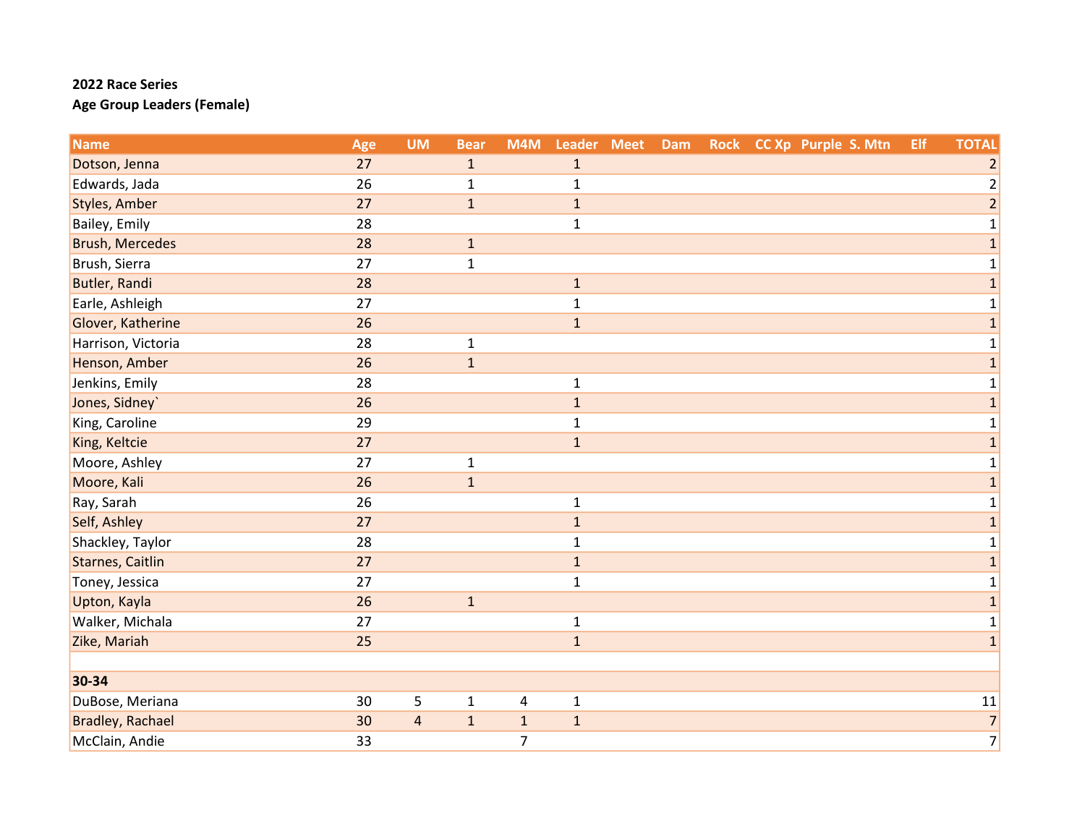| <b>Name</b>             | Age | <b>UM</b>      | <b>Bear</b>  | M4M            | Leader Meet  | Dam |  | Rock CC Xp Purple S. Mtn | Elf | <b>TOTAL</b>   |
|-------------------------|-----|----------------|--------------|----------------|--------------|-----|--|--------------------------|-----|----------------|
| Dotson, Jenna           | 27  |                | $\mathbf{1}$ |                | $1\,$        |     |  |                          |     | $\overline{2}$ |
| Edwards, Jada           | 26  |                | $\mathbf 1$  |                | $\mathbf 1$  |     |  |                          |     | $\overline{2}$ |
| <b>Styles, Amber</b>    | 27  |                | $\mathbf 1$  |                | $\mathbf{1}$ |     |  |                          |     | $\overline{2}$ |
| Bailey, Emily           | 28  |                |              |                | $\mathbf{1}$ |     |  |                          |     | 1              |
| <b>Brush, Mercedes</b>  | 28  |                | $\mathbf 1$  |                |              |     |  |                          |     | $\mathbf{1}$   |
| Brush, Sierra           | 27  |                | $\mathbf{1}$ |                |              |     |  |                          |     | $\mathbf 1$    |
| <b>Butler, Randi</b>    | 28  |                |              |                | $\mathbf 1$  |     |  |                          |     | $\mathbf 1$    |
| Earle, Ashleigh         | 27  |                |              |                | $\mathbf 1$  |     |  |                          |     | 1              |
| Glover, Katherine       | 26  |                |              |                | $\mathbf{1}$ |     |  |                          |     | $\mathbf{1}$   |
| Harrison, Victoria      | 28  |                | $\mathbf{1}$ |                |              |     |  |                          |     | 1              |
| Henson, Amber           | 26  |                | $\mathbf 1$  |                |              |     |  |                          |     | $\mathbf 1$    |
| Jenkins, Emily          | 28  |                |              |                | $\mathbf 1$  |     |  |                          |     | 1              |
| Jones, Sidney`          | 26  |                |              |                | $\mathbf{1}$ |     |  |                          |     | $\mathbf{1}$   |
| King, Caroline          | 29  |                |              |                | $\mathbf{1}$ |     |  |                          |     | 1              |
| King, Keltcie           | 27  |                |              |                | $\mathbf{1}$ |     |  |                          |     | $\mathbf 1$    |
| Moore, Ashley           | 27  |                | $\mathbf{1}$ |                |              |     |  |                          |     | $\mathbf{1}$   |
| Moore, Kali             | 26  |                | $\mathbf 1$  |                |              |     |  |                          |     | $\mathbf{1}$   |
| Ray, Sarah              | 26  |                |              |                | $\mathbf 1$  |     |  |                          |     | 1              |
| Self, Ashley            | 27  |                |              |                | $\mathbf 1$  |     |  |                          |     | $\mathbf{1}$   |
| Shackley, Taylor        | 28  |                |              |                | $\mathbf{1}$ |     |  |                          |     | 1              |
| <b>Starnes, Caitlin</b> | 27  |                |              |                | $\mathbf{1}$ |     |  |                          |     | $\mathbf{1}$   |
| Toney, Jessica          | 27  |                |              |                | $\mathbf{1}$ |     |  |                          |     | 1              |
| Upton, Kayla            | 26  |                | $\mathbf 1$  |                |              |     |  |                          |     | $\mathbf{1}$   |
| Walker, Michala         | 27  |                |              |                | $\mathbf 1$  |     |  |                          |     | 1              |
| Zike, Mariah            | 25  |                |              |                | $\mathbf{1}$ |     |  |                          |     | $\mathbf 1$    |
|                         |     |                |              |                |              |     |  |                          |     |                |
| 30-34                   |     |                |              |                |              |     |  |                          |     |                |
| DuBose, Meriana         | 30  | 5              | $\mathbf 1$  | $\pmb{4}$      | $\mathbf 1$  |     |  |                          |     | 11             |
| <b>Bradley, Rachael</b> | 30  | $\overline{a}$ | $\mathbf 1$  | $\mathbf 1$    | $\mathbf{1}$ |     |  |                          |     | $\overline{7}$ |
| McClain, Andie          | 33  |                |              | $\overline{7}$ |              |     |  |                          |     | $\overline{7}$ |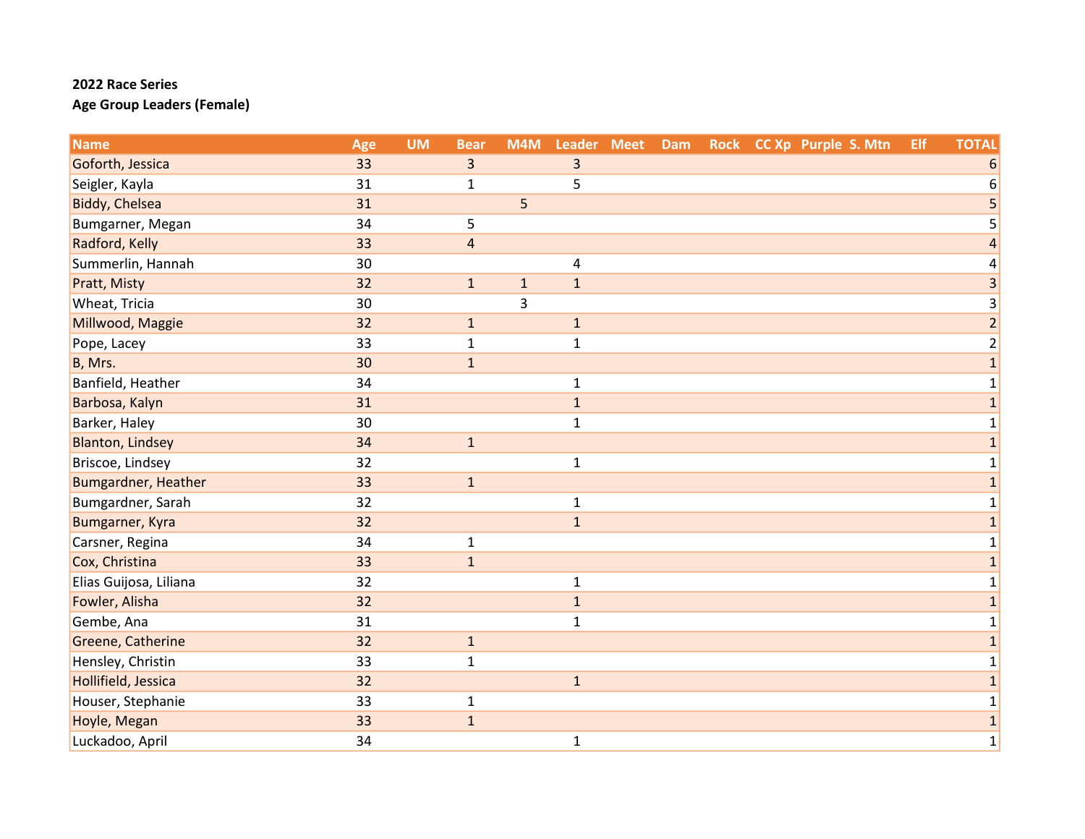| <b>Name</b>             | Age | <b>UM</b> | <b>Bear</b>    | M4M         | Leader Meet  | Dam |  | Rock CC Xp Purple S. Mtn | Elf | <b>TOTAL</b>            |
|-------------------------|-----|-----------|----------------|-------------|--------------|-----|--|--------------------------|-----|-------------------------|
| Goforth, Jessica        | 33  |           | 3              |             | 3            |     |  |                          |     | 6                       |
| Seigler, Kayla          | 31  |           | $\mathbf 1$    |             | 5            |     |  |                          |     | 6                       |
| Biddy, Chelsea          | 31  |           |                | 5           |              |     |  |                          |     | 5                       |
| Bumgarner, Megan        | 34  |           | 5              |             |              |     |  |                          |     | 5                       |
| Radford, Kelly          | 33  |           | $\overline{4}$ |             |              |     |  |                          |     | 4                       |
| Summerlin, Hannah       | 30  |           |                |             | $\sqrt{4}$   |     |  |                          |     | 4                       |
| Pratt, Misty            | 32  |           | $1\,$          | $\mathbf 1$ | $1\,$        |     |  |                          |     | 3                       |
| Wheat, Tricia           | 30  |           |                | 3           |              |     |  |                          |     | 3                       |
| Millwood, Maggie        | 32  |           | $\mathbf 1$    |             | $\mathbf 1$  |     |  |                          |     | $\overline{2}$          |
| Pope, Lacey             | 33  |           | $\mathbf{1}$   |             | $\mathbf{1}$ |     |  |                          |     | $\overline{\mathbf{c}}$ |
| B, Mrs.                 | 30  |           | $1\,$          |             |              |     |  |                          |     | $\mathbf{1}$            |
| Banfield, Heather       | 34  |           |                |             | $\mathbf{1}$ |     |  |                          |     | 1                       |
| Barbosa, Kalyn          | 31  |           |                |             | $\mathbf 1$  |     |  |                          |     | $\mathbf{1}$            |
| Barker, Haley           | 30  |           |                |             | $\mathbf{1}$ |     |  |                          |     | 1                       |
| <b>Blanton, Lindsey</b> | 34  |           | $1\,$          |             |              |     |  |                          |     | $\mathbf{1}$            |
| Briscoe, Lindsey        | 32  |           |                |             | $\mathbf{1}$ |     |  |                          |     | $\mathbf 1$             |
| Bumgardner, Heather     | 33  |           | $\mathbf 1$    |             |              |     |  |                          |     | $\mathbf 1$             |
| Bumgardner, Sarah       | 32  |           |                |             | $\mathbf{1}$ |     |  |                          |     | $\mathbf 1$             |
| Bumgarner, Kyra         | 32  |           |                |             | $\mathbf{1}$ |     |  |                          |     | 1                       |
| Carsner, Regina         | 34  |           | $\mathbf 1$    |             |              |     |  |                          |     | $\mathbf 1$             |
| Cox, Christina          | 33  |           | $\mathbf 1$    |             |              |     |  |                          |     | $\mathbf{1}$            |
| Elias Guijosa, Liliana  | 32  |           |                |             | $\mathbf{1}$ |     |  |                          |     | 1                       |
| Fowler, Alisha          | 32  |           |                |             | $1\,$        |     |  |                          |     | $\mathbf{1}$            |
| Gembe, Ana              | 31  |           |                |             | $\mathbf{1}$ |     |  |                          |     | 1                       |
| Greene, Catherine       | 32  |           | $\mathbf{1}$   |             |              |     |  |                          |     | $\mathbf{1}$            |
| Hensley, Christin       | 33  |           | $\mathbf 1$    |             |              |     |  |                          |     | 1                       |
| Hollifield, Jessica     | 32  |           |                |             | $\mathbf{1}$ |     |  |                          |     | $\mathbf{1}$            |
| Houser, Stephanie       | 33  |           | $\mathbf{1}$   |             |              |     |  |                          |     | $\mathbf 1$             |
| Hoyle, Megan            | 33  |           | $\mathbf 1$    |             |              |     |  |                          |     | $\mathbf 1$             |
| Luckadoo, April         | 34  |           |                |             | $\mathbf{1}$ |     |  |                          |     | $\mathbf 1$             |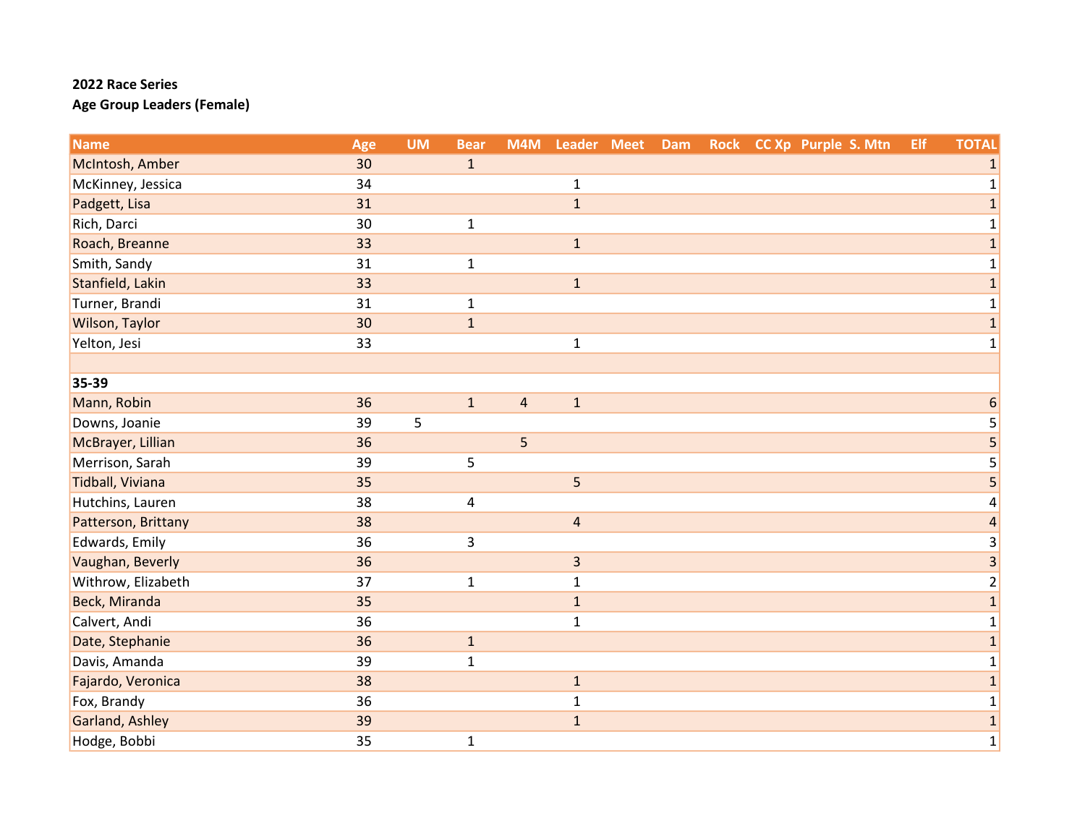| <b>Name</b>         | Age | <b>UM</b> | <b>Bear</b>    | M4M            | Leader Meet    | Dam |  | Rock CC Xp Purple S. Mtn | Elf | <b>TOTAL</b>             |
|---------------------|-----|-----------|----------------|----------------|----------------|-----|--|--------------------------|-----|--------------------------|
| McIntosh, Amber     | 30  |           | $\mathbf{1}$   |                |                |     |  |                          |     | 1                        |
| McKinney, Jessica   | 34  |           |                |                | $\mathbf{1}$   |     |  |                          |     | $\mathbf 1$              |
| Padgett, Lisa       | 31  |           |                |                | $\mathbf{1}$   |     |  |                          |     | $\mathbf{1}$             |
| Rich, Darci         | 30  |           | $\mathbf{1}$   |                |                |     |  |                          |     | $\mathbf{1}$             |
| Roach, Breanne      | 33  |           |                |                | $\mathbf{1}$   |     |  |                          |     | $\mathbf{1}$             |
| Smith, Sandy        | 31  |           | $\mathbf 1$    |                |                |     |  |                          |     | $\mathbf 1$              |
| Stanfield, Lakin    | 33  |           |                |                | $\mathbf 1$    |     |  |                          |     | $\mathbf{1}$             |
| Turner, Brandi      | 31  |           | $\mathbf{1}$   |                |                |     |  |                          |     | $\mathbf{1}$             |
| Wilson, Taylor      | 30  |           | $\mathbf 1$    |                |                |     |  |                          |     | $\mathbf{1}$             |
| Yelton, Jesi        | 33  |           |                |                | $\mathbf{1}$   |     |  |                          |     | 1                        |
|                     |     |           |                |                |                |     |  |                          |     |                          |
| 35-39               |     |           |                |                |                |     |  |                          |     |                          |
| Mann, Robin         | 36  |           | $\mathbf{1}$   | $\overline{4}$ | $\mathbf{1}$   |     |  |                          |     | 6                        |
| Downs, Joanie       | 39  | 5         |                |                |                |     |  |                          |     | 5                        |
| McBrayer, Lillian   | 36  |           |                | 5              |                |     |  |                          |     | 5                        |
| Merrison, Sarah     | 39  |           | 5              |                |                |     |  |                          |     | 5                        |
| Tidball, Viviana    | 35  |           |                |                | 5              |     |  |                          |     | 5                        |
| Hutchins, Lauren    | 38  |           | $\overline{4}$ |                |                |     |  |                          |     | 4                        |
| Patterson, Brittany | 38  |           |                |                | $\overline{4}$ |     |  |                          |     | $\overline{\mathcal{L}}$ |
| Edwards, Emily      | 36  |           | 3              |                |                |     |  |                          |     | 3                        |
| Vaughan, Beverly    | 36  |           |                |                | $\overline{3}$ |     |  |                          |     | $\overline{3}$           |
| Withrow, Elizabeth  | 37  |           | $\mathbf 1$    |                | $\mathbf{1}$   |     |  |                          |     | $\overline{c}$           |
| Beck, Miranda       | 35  |           |                |                | $\mathbf 1$    |     |  |                          |     | $\mathbf{1}$             |
| Calvert, Andi       | 36  |           |                |                | $\mathbf 1$    |     |  |                          |     | 1                        |
| Date, Stephanie     | 36  |           | $1\,$          |                |                |     |  |                          |     | $\mathbf{1}$             |
| Davis, Amanda       | 39  |           | $\mathbf 1$    |                |                |     |  |                          |     | $\mathbf{1}$             |
| Fajardo, Veronica   | 38  |           |                |                | $\mathbf 1$    |     |  |                          |     | $\mathbf{1}$             |
| Fox, Brandy         | 36  |           |                |                | $\mathbf 1$    |     |  |                          |     | $\mathbf 1$              |
| Garland, Ashley     | 39  |           |                |                | $\mathbf{1}$   |     |  |                          |     | $\mathbf{1}$             |
| Hodge, Bobbi        | 35  |           | $\mathbf 1$    |                |                |     |  |                          |     | $\mathbf 1$              |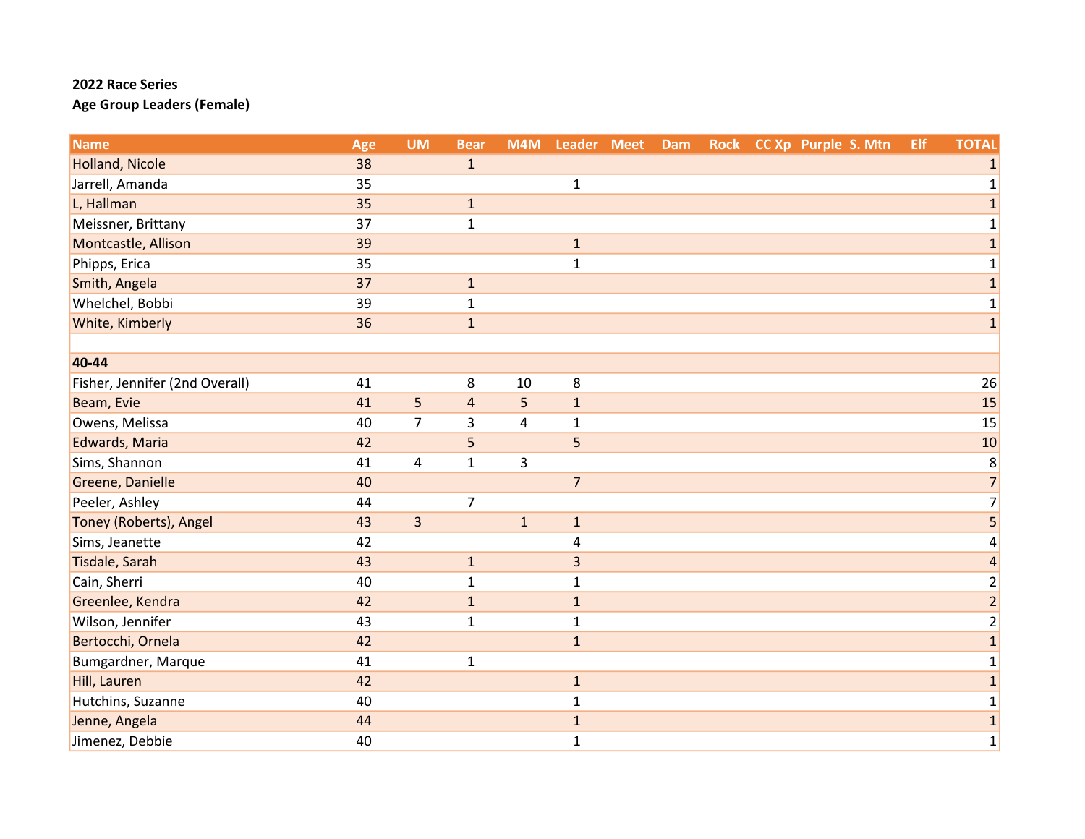| <b>Name</b>                    | Age | <b>UM</b>               | <b>Bear</b>    | M4M                     | Leader Meet    | Dam |  | Rock CC Xp Purple S. Mtn | Elf | <b>TOTAL</b>             |
|--------------------------------|-----|-------------------------|----------------|-------------------------|----------------|-----|--|--------------------------|-----|--------------------------|
| <b>Holland, Nicole</b>         | 38  |                         | $\mathbf{1}$   |                         |                |     |  |                          |     | 1                        |
| Jarrell, Amanda                | 35  |                         |                |                         | $\mathbf 1$    |     |  |                          |     | $\mathbf{1}$             |
| L, Hallman                     | 35  |                         | $\mathbf 1$    |                         |                |     |  |                          |     | $\mathbf{1}$             |
| Meissner, Brittany             | 37  |                         | $\mathbf{1}$   |                         |                |     |  |                          |     | $\mathbf{1}$             |
| Montcastle, Allison            | 39  |                         |                |                         | $\mathbf{1}$   |     |  |                          |     | $\mathbf 1$              |
| Phipps, Erica                  | 35  |                         |                |                         | $\mathbf{1}$   |     |  |                          |     | $\mathbf 1$              |
| Smith, Angela                  | 37  |                         | $\mathbf 1$    |                         |                |     |  |                          |     | $\mathbf{1}$             |
| Whelchel, Bobbi                | 39  |                         | $\mathbf{1}$   |                         |                |     |  |                          |     | $\mathbf 1$              |
| White, Kimberly                | 36  |                         | $\mathbf 1$    |                         |                |     |  |                          |     | $\mathbf{1}$             |
|                                |     |                         |                |                         |                |     |  |                          |     |                          |
| 40-44                          |     |                         |                |                         |                |     |  |                          |     |                          |
| Fisher, Jennifer (2nd Overall) | 41  |                         | 8              | 10                      | 8              |     |  |                          |     | 26                       |
| Beam, Evie                     | 41  | 5                       | $\sqrt{4}$     | 5                       | $\mathbf{1}$   |     |  |                          |     | 15                       |
| Owens, Melissa                 | 40  | $\overline{7}$          | $\overline{3}$ | $\overline{\mathbf{4}}$ | $\mathbf{1}$   |     |  |                          |     | 15                       |
| Edwards, Maria                 | 42  |                         | 5              |                         | 5              |     |  |                          |     | 10                       |
| Sims, Shannon                  | 41  | 4                       | $\mathbf{1}$   | 3                       |                |     |  |                          |     | $\,8$                    |
| Greene, Danielle               | 40  |                         |                |                         | $\overline{7}$ |     |  |                          |     | $\overline{7}$           |
| Peeler, Ashley                 | 44  |                         | $\overline{7}$ |                         |                |     |  |                          |     | $\overline{7}$           |
| Toney (Roberts), Angel         | 43  | $\overline{\mathbf{3}}$ |                | $\mathbf 1$             | $\mathbf{1}$   |     |  |                          |     | $\overline{\mathbf{5}}$  |
| Sims, Jeanette                 | 42  |                         |                |                         | 4              |     |  |                          |     | 4                        |
| Tisdale, Sarah                 | 43  |                         | $\mathbf 1$    |                         | $\overline{3}$ |     |  |                          |     | $\overline{\mathcal{L}}$ |
| Cain, Sherri                   | 40  |                         | $\mathbf{1}$   |                         | $\mathbf{1}$   |     |  |                          |     | $\overline{2}$           |
| Greenlee, Kendra               | 42  |                         | $\mathbf 1$    |                         | $\mathbf{1}$   |     |  |                          |     | $\overline{a}$           |
| Wilson, Jennifer               | 43  |                         | $\mathbf 1$    |                         | $\mathbf{1}$   |     |  |                          |     | $\overline{\mathbf{c}}$  |
| Bertocchi, Ornela              | 42  |                         |                |                         | $\mathbf{1}$   |     |  |                          |     | $\mathbf{1}$             |
| Bumgardner, Marque             | 41  |                         | $\mathbf 1$    |                         |                |     |  |                          |     | $\mathbf{1}$             |
| Hill, Lauren                   | 42  |                         |                |                         | $\mathbf 1$    |     |  |                          |     | $\mathbf{1}$             |
| Hutchins, Suzanne              | 40  |                         |                |                         | $\mathbf{1}$   |     |  |                          |     | $\mathbf{1}$             |
| Jenne, Angela                  | 44  |                         |                |                         | $\mathbf 1$    |     |  |                          |     | $\mathbf 1$              |
| Jimenez, Debbie                | 40  |                         |                |                         | $\mathbf{1}$   |     |  |                          |     | $\mathbf 1$              |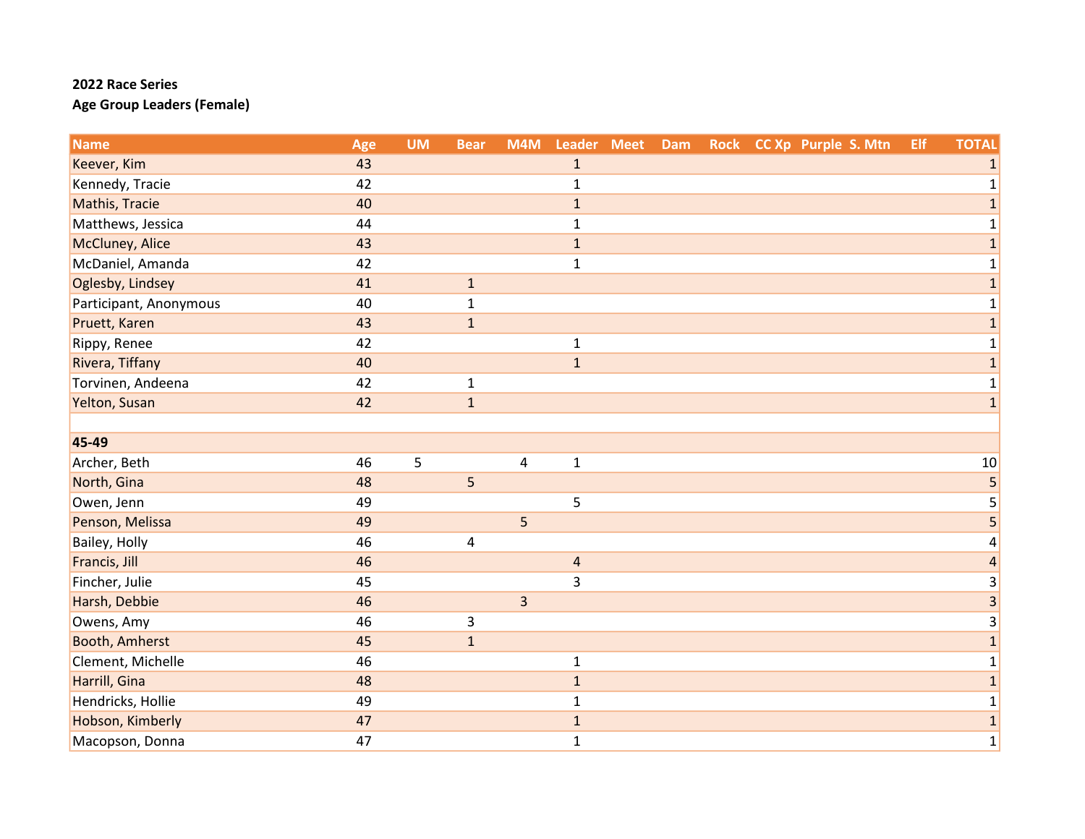| <b>Name</b>            | Age | <b>UM</b> | <b>Bear</b>  | M4M            | Leader Meet    | Dam |  | Rock CC Xp Purple S. Mtn | Elf | <b>TOTAL</b>   |
|------------------------|-----|-----------|--------------|----------------|----------------|-----|--|--------------------------|-----|----------------|
| Keever, Kim            | 43  |           |              |                | $\mathbf 1$    |     |  |                          |     | 1              |
| Kennedy, Tracie        | 42  |           |              |                | $\mathbf{1}$   |     |  |                          |     | 1              |
| Mathis, Tracie         | 40  |           |              |                | $\mathbf{1}$   |     |  |                          |     | $\mathbf{1}$   |
| Matthews, Jessica      | 44  |           |              |                | $\mathbf{1}$   |     |  |                          |     | 1              |
| McCluney, Alice        | 43  |           |              |                | $\mathbf{1}$   |     |  |                          |     | $\mathbf{1}$   |
| McDaniel, Amanda       | 42  |           |              |                | $\mathbf{1}$   |     |  |                          |     | $\mathbf{1}$   |
| Oglesby, Lindsey       | 41  |           | $\mathbf 1$  |                |                |     |  |                          |     | $\mathbf{1}$   |
| Participant, Anonymous | 40  |           | $\mathbf{1}$ |                |                |     |  |                          |     | 1              |
| Pruett, Karen          | 43  |           | $\mathbf{1}$ |                |                |     |  |                          |     | $\mathbf{1}$   |
| Rippy, Renee           | 42  |           |              |                | $\mathbf{1}$   |     |  |                          |     | 1              |
| Rivera, Tiffany        | 40  |           |              |                | $\mathbf{1}$   |     |  |                          |     | $\mathbf 1$    |
| Torvinen, Andeena      | 42  |           | $\mathbf 1$  |                |                |     |  |                          |     | 1              |
| Yelton, Susan          | 42  |           | $\mathbf{1}$ |                |                |     |  |                          |     | $\mathbf 1$    |
|                        |     |           |              |                |                |     |  |                          |     |                |
| 45-49                  |     |           |              |                |                |     |  |                          |     |                |
| Archer, Beth           | 46  | 5         |              | 4              | $\mathbf{1}$   |     |  |                          |     | 10             |
| North, Gina            | 48  |           | 5            |                |                |     |  |                          |     | 5              |
| Owen, Jenn             | 49  |           |              |                | 5              |     |  |                          |     | 5              |
| Penson, Melissa        | 49  |           |              | 5              |                |     |  |                          |     | $\overline{5}$ |
| Bailey, Holly          | 46  |           | 4            |                |                |     |  |                          |     | 4              |
| Francis, Jill          | 46  |           |              |                | $\overline{4}$ |     |  |                          |     | $\overline{a}$ |
| Fincher, Julie         | 45  |           |              |                | $\overline{3}$ |     |  |                          |     | 3              |
| Harsh, Debbie          | 46  |           |              | $\overline{3}$ |                |     |  |                          |     | 3              |
| Owens, Amy             | 46  |           | $\mathsf 3$  |                |                |     |  |                          |     | 3              |
| Booth, Amherst         | 45  |           | $\mathbf{1}$ |                |                |     |  |                          |     | $\mathbf{1}$   |
| Clement, Michelle      | 46  |           |              |                | $\mathbf{1}$   |     |  |                          |     | $\mathbf{1}$   |
| Harrill, Gina          | 48  |           |              |                | $\mathbf{1}$   |     |  |                          |     | $\mathbf{1}$   |
| Hendricks, Hollie      | 49  |           |              |                | $\mathbf{1}$   |     |  |                          |     | $\mathbf 1$    |
| Hobson, Kimberly       | 47  |           |              |                | $\mathbf{1}$   |     |  |                          |     | $\mathbf{1}$   |
| Macopson, Donna        | 47  |           |              |                | $\mathbf{1}$   |     |  |                          |     | $\mathbf 1$    |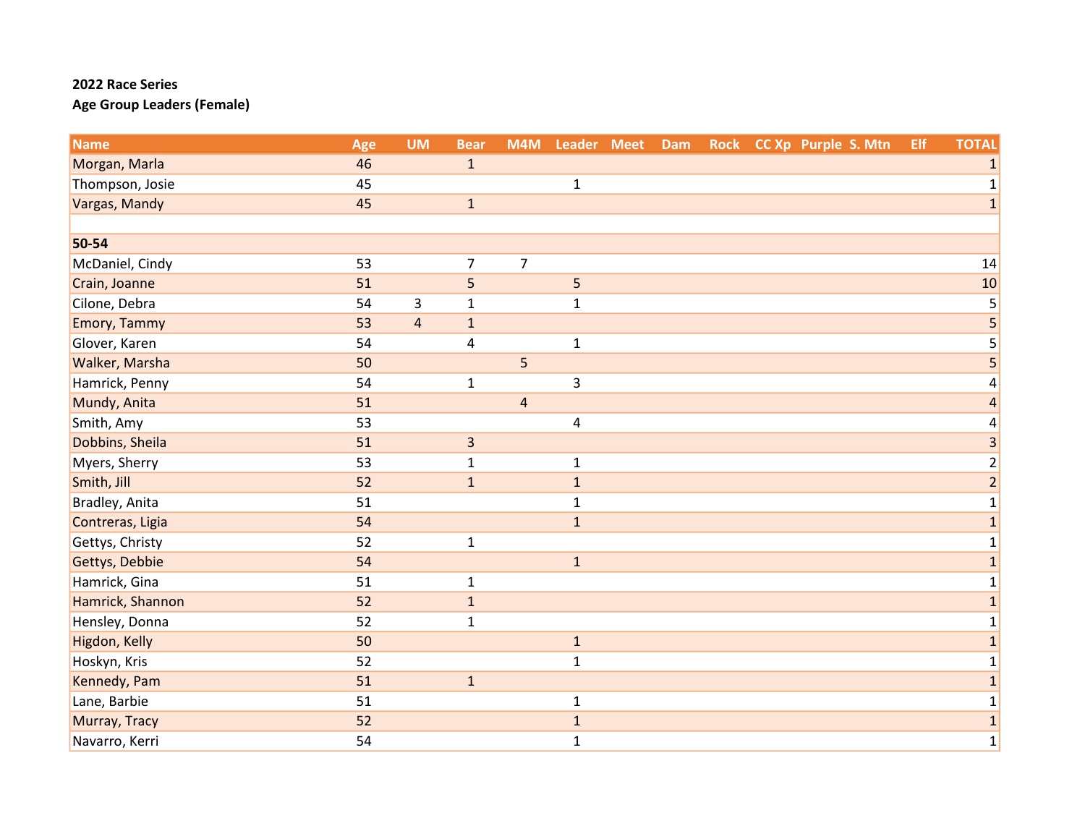| <b>Name</b>         | Age | <b>UM</b>               | <b>Bear</b>             |                | M4M Leader Meet | Dam |  | Rock CC Xp Purple S. Mtn | Elf | <b>TOTAL</b>            |
|---------------------|-----|-------------------------|-------------------------|----------------|-----------------|-----|--|--------------------------|-----|-------------------------|
| Morgan, Marla       | 46  |                         | $\mathbf{1}$            |                |                 |     |  |                          |     | $\mathbf{1}$            |
| Thompson, Josie     | 45  |                         |                         |                | $\mathbf 1$     |     |  |                          |     | $\mathbf 1$             |
| Vargas, Mandy       | 45  |                         | $\mathbf 1$             |                |                 |     |  |                          |     | $\mathbf 1$             |
|                     |     |                         |                         |                |                 |     |  |                          |     |                         |
| 50-54               |     |                         |                         |                |                 |     |  |                          |     |                         |
| McDaniel, Cindy     | 53  |                         | $\overline{7}$          | $\overline{7}$ |                 |     |  |                          |     | 14                      |
| Crain, Joanne       | 51  |                         | 5                       |                | 5               |     |  |                          |     | 10                      |
| Cilone, Debra       | 54  | 3                       | $\mathbf 1$             |                | $\mathbf 1$     |     |  |                          |     | 5                       |
| <b>Emory, Tammy</b> | 53  | $\overline{\mathbf{4}}$ | $\mathbf 1$             |                |                 |     |  |                          |     | $\overline{\mathbf{5}}$ |
| Glover, Karen       | 54  |                         | 4                       |                | $\mathbf 1$     |     |  |                          |     | 5                       |
| Walker, Marsha      | 50  |                         |                         | 5              |                 |     |  |                          |     | $\overline{\mathbf{5}}$ |
| Hamrick, Penny      | 54  |                         | $\mathbf{1}$            |                | $\overline{3}$  |     |  |                          |     | 4                       |
| Mundy, Anita        | 51  |                         |                         | $\overline{4}$ |                 |     |  |                          |     | $\overline{\mathbf{r}}$ |
| Smith, Amy          | 53  |                         |                         |                | $\overline{4}$  |     |  |                          |     | 4                       |
| Dobbins, Sheila     | 51  |                         | $\overline{\mathbf{3}}$ |                |                 |     |  |                          |     | 3                       |
| Myers, Sherry       | 53  |                         | $\mathbf{1}$            |                | $\mathbf{1}$    |     |  |                          |     | $\overline{\mathbf{c}}$ |
| Smith, Jill         | 52  |                         | $\mathbf 1$             |                | $\mathbf{1}$    |     |  |                          |     | $\overline{2}$          |
| Bradley, Anita      | 51  |                         |                         |                | $\mathbf{1}$    |     |  |                          |     | $\mathbf{1}$            |
| Contreras, Ligia    | 54  |                         |                         |                | $\mathbf{1}$    |     |  |                          |     | $\mathbf{1}$            |
| Gettys, Christy     | 52  |                         | $\mathbf{1}$            |                |                 |     |  |                          |     | $\mathbf 1$             |
| Gettys, Debbie      | 54  |                         |                         |                | $\mathbf 1$     |     |  |                          |     | $\mathbf{1}$            |
| Hamrick, Gina       | 51  |                         | $\mathbf{1}$            |                |                 |     |  |                          |     | $\mathbf 1$             |
| Hamrick, Shannon    | 52  |                         | $\mathbf 1$             |                |                 |     |  |                          |     | $\mathbf{1}$            |
| Hensley, Donna      | 52  |                         | $\mathbf{1}$            |                |                 |     |  |                          |     | 1                       |
| Higdon, Kelly       | 50  |                         |                         |                | $\mathbf{1}$    |     |  |                          |     | $\mathbf 1$             |
| Hoskyn, Kris        | 52  |                         |                         |                | $\mathbf 1$     |     |  |                          |     | $\mathbf{1}$            |
| Kennedy, Pam        | 51  |                         | $\mathbf 1$             |                |                 |     |  |                          |     | $\mathbf 1$             |
| Lane, Barbie        | 51  |                         |                         |                | $\mathbf{1}$    |     |  |                          |     | $\mathbf{1}$            |
| Murray, Tracy       | 52  |                         |                         |                | $\mathbf 1$     |     |  |                          |     | $\mathbf{1}$            |
| Navarro, Kerri      | 54  |                         |                         |                | $\mathbf{1}$    |     |  |                          |     | $\mathbf 1$             |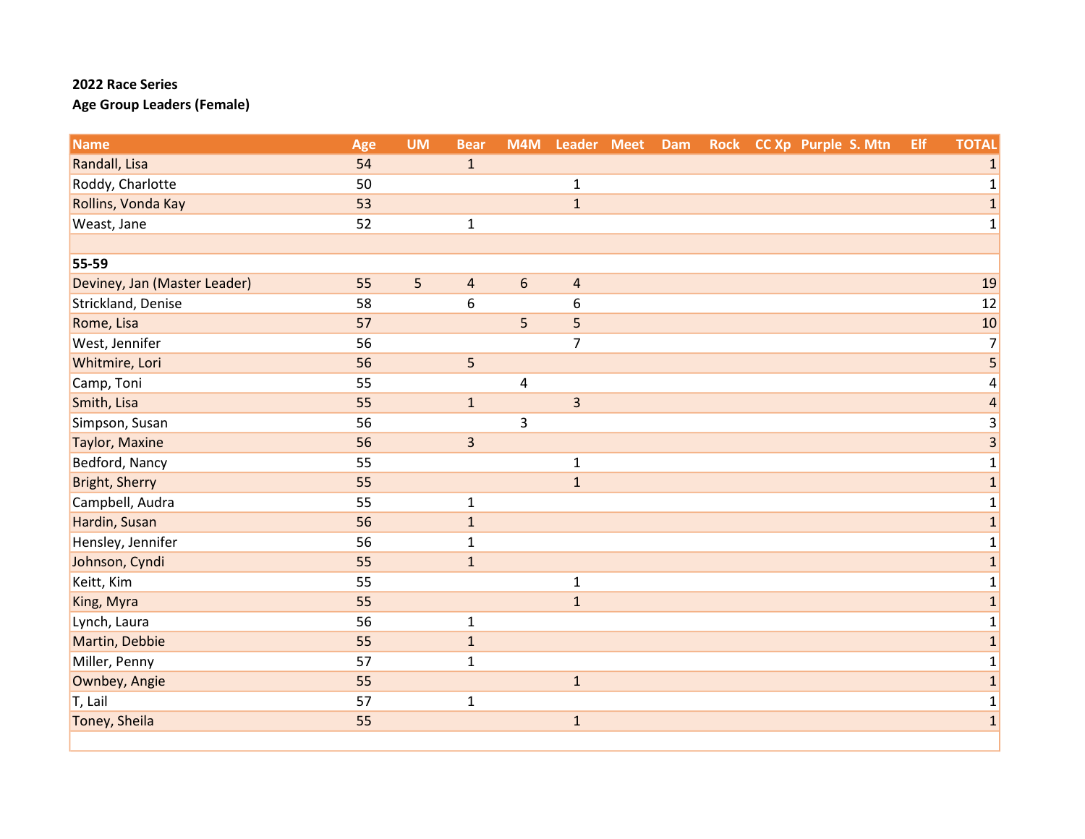| <b>Name</b>                  | Age | <b>UM</b> | <b>Bear</b>    |                  | M4M Leader Meet | Dam |  | Rock CC Xp Purple S. Mtn | Elf | <b>TOTAL</b>            |
|------------------------------|-----|-----------|----------------|------------------|-----------------|-----|--|--------------------------|-----|-------------------------|
| Randall, Lisa                | 54  |           | $\mathbf{1}$   |                  |                 |     |  |                          |     | $\mathbf{1}$            |
| Roddy, Charlotte             | 50  |           |                |                  | $\mathbf{1}$    |     |  |                          |     | $\mathbf 1$             |
| Rollins, Vonda Kay           | 53  |           |                |                  | $\mathbf{1}$    |     |  |                          |     | $\mathbf{1}$            |
| Weast, Jane                  | 52  |           | $\mathbf 1$    |                  |                 |     |  |                          |     | $\mathbf 1$             |
|                              |     |           |                |                  |                 |     |  |                          |     |                         |
| 55-59                        |     |           |                |                  |                 |     |  |                          |     |                         |
| Deviney, Jan (Master Leader) | 55  | 5         | $\overline{a}$ | $\boldsymbol{6}$ | $\overline{a}$  |     |  |                          |     | 19                      |
| Strickland, Denise           | 58  |           | 6              |                  | 6               |     |  |                          |     | 12                      |
| Rome, Lisa                   | 57  |           |                | 5                | 5               |     |  |                          |     | 10                      |
| West, Jennifer               | 56  |           |                |                  | $\overline{7}$  |     |  |                          |     | $\overline{7}$          |
| Whitmire, Lori               | 56  |           | 5              |                  |                 |     |  |                          |     | $\overline{\mathbf{5}}$ |
| Camp, Toni                   | 55  |           |                | $\sqrt{4}$       |                 |     |  |                          |     | $\overline{a}$          |
| Smith, Lisa                  | 55  |           | $\mathbf 1$    |                  | $\overline{3}$  |     |  |                          |     | $\overline{\mathbf{r}}$ |
| Simpson, Susan               | 56  |           |                | 3                |                 |     |  |                          |     | 3                       |
| <b>Taylor, Maxine</b>        | 56  |           | $\overline{3}$ |                  |                 |     |  |                          |     | $\overline{3}$          |
| Bedford, Nancy               | 55  |           |                |                  | $\mathbf{1}$    |     |  |                          |     | $\mathbf 1$             |
| <b>Bright, Sherry</b>        | 55  |           |                |                  | $\mathbf{1}$    |     |  |                          |     | $\mathbf{1}$            |
| Campbell, Audra              | 55  |           | $\mathbf 1$    |                  |                 |     |  |                          |     | $\mathbf 1$             |
| Hardin, Susan                | 56  |           | $\mathbf 1$    |                  |                 |     |  |                          |     | $\mathbf{1}$            |
| Hensley, Jennifer            | 56  |           | $\mathbf 1$    |                  |                 |     |  |                          |     | $\mathbf 1$             |
| Johnson, Cyndi               | 55  |           | $\mathbf 1$    |                  |                 |     |  |                          |     | $\mathbf 1$             |
| Keitt, Kim                   | 55  |           |                |                  | $\mathbf{1}$    |     |  |                          |     | $\mathbf{1}$            |
| King, Myra                   | 55  |           |                |                  | $\mathbf{1}$    |     |  |                          |     | $\mathbf{1}$            |
| Lynch, Laura                 | 56  |           | $\mathbf 1$    |                  |                 |     |  |                          |     | $\mathbf 1$             |
| Martin, Debbie               | 55  |           | $\mathbf 1$    |                  |                 |     |  |                          |     | $\mathbf 1$             |
| Miller, Penny                | 57  |           | $\mathbf{1}$   |                  |                 |     |  |                          |     | $\mathbf 1$             |
| Ownbey, Angie                | 55  |           |                |                  | $\mathbf{1}$    |     |  |                          |     | $\overline{1}$          |
| T, Lail                      | 57  |           | $\mathbf{1}$   |                  |                 |     |  |                          |     | $\mathbf 1$             |
| Toney, Sheila                | 55  |           |                |                  | $\mathbf 1$     |     |  |                          |     | $\overline{1}$          |
|                              |     |           |                |                  |                 |     |  |                          |     |                         |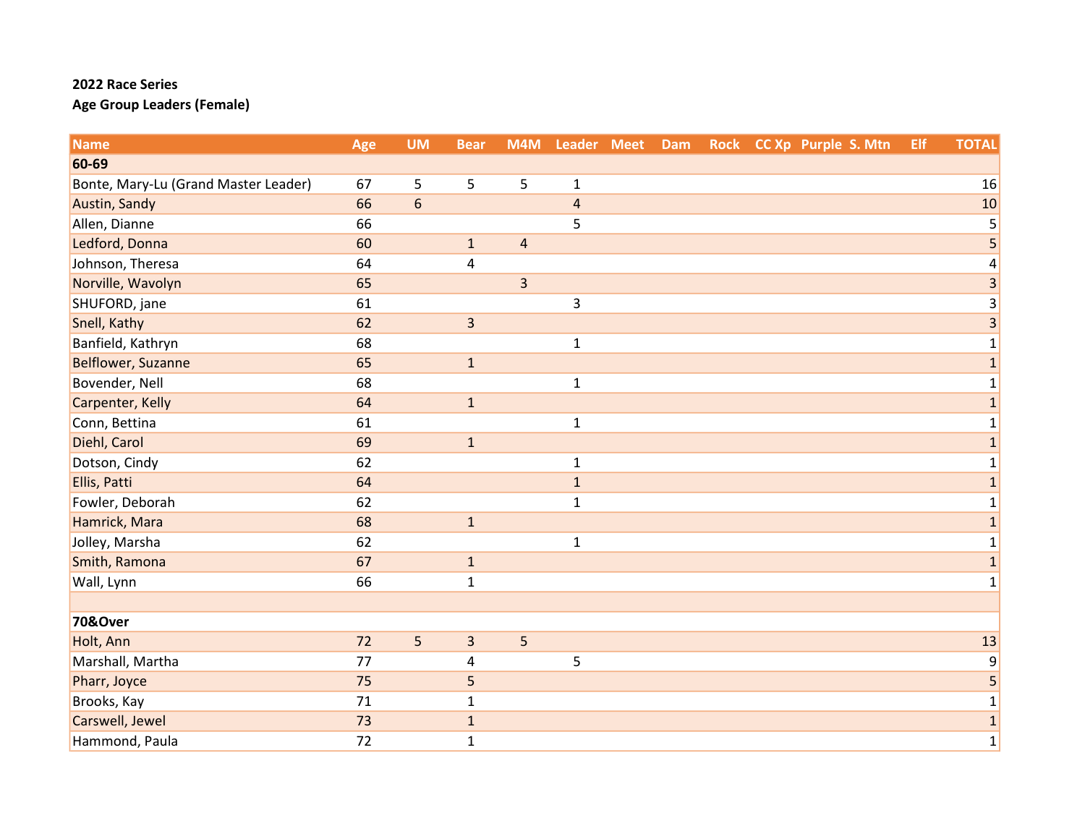| <b>Name</b>                          | Age | <b>UM</b>  | <b>Bear</b>    | M4M                     | Leader Meet    | Dam | Rock CC Xp Purple S. Mtn | Elf | <b>TOTAL</b>              |
|--------------------------------------|-----|------------|----------------|-------------------------|----------------|-----|--------------------------|-----|---------------------------|
| 60-69                                |     |            |                |                         |                |     |                          |     |                           |
| Bonte, Mary-Lu (Grand Master Leader) | 67  | 5          | 5              | 5                       | $\mathbf 1$    |     |                          |     | 16                        |
| Austin, Sandy                        | 66  | $\sqrt{6}$ |                |                         | $\overline{4}$ |     |                          |     | 10                        |
| Allen, Dianne                        | 66  |            |                |                         | 5              |     |                          |     | 5                         |
| Ledford, Donna                       | 60  |            | $\mathbf 1$    | $\overline{4}$          |                |     |                          |     | 5                         |
| Johnson, Theresa                     | 64  |            | $\pmb{4}$      |                         |                |     |                          |     | 4                         |
| Norville, Wavolyn                    | 65  |            |                | $\overline{\mathbf{3}}$ |                |     |                          |     | 3                         |
| SHUFORD, jane                        | 61  |            |                |                         | $\mathsf{3}$   |     |                          |     | $\ensuremath{\mathsf{3}}$ |
| Snell, Kathy                         | 62  |            | $\overline{3}$ |                         |                |     |                          |     | $\overline{\mathbf{3}}$   |
| Banfield, Kathryn                    | 68  |            |                |                         | $\mathbf{1}$   |     |                          |     | 1                         |
| <b>Belflower, Suzanne</b>            | 65  |            | $\mathbf 1$    |                         |                |     |                          |     | $\mathbf{1}$              |
| Bovender, Nell                       | 68  |            |                |                         | $\mathbf 1$    |     |                          |     | $\mathbf{1}$              |
| Carpenter, Kelly                     | 64  |            | $\mathbf{1}$   |                         |                |     |                          |     | $\mathbf{1}$              |
| Conn, Bettina                        | 61  |            |                |                         | $\mathbf{1}$   |     |                          |     | 1                         |
| Diehl, Carol                         | 69  |            | $\mathbf{1}$   |                         |                |     |                          |     | $\mathbf{1}$              |
| Dotson, Cindy                        | 62  |            |                |                         | $\mathbf{1}$   |     |                          |     | $\mathbf 1$               |
| Ellis, Patti                         | 64  |            |                |                         | $1\,$          |     |                          |     | $\mathbf{1}$              |
| Fowler, Deborah                      | 62  |            |                |                         | $\mathbf{1}$   |     |                          |     | 1                         |
| Hamrick, Mara                        | 68  |            | $\mathbf 1$    |                         |                |     |                          |     | $\mathbf 1$               |
| Jolley, Marsha                       | 62  |            |                |                         | $\mathbf{1}$   |     |                          |     | 1                         |
| Smith, Ramona                        | 67  |            | $\mathbf 1$    |                         |                |     |                          |     | $\mathbf{1}$              |
| Wall, Lynn                           | 66  |            | $\mathbf 1$    |                         |                |     |                          |     | 1                         |
|                                      |     |            |                |                         |                |     |                          |     |                           |
| 70&Over                              |     |            |                |                         |                |     |                          |     |                           |
| Holt, Ann                            | 72  | 5          | $\overline{3}$ | 5                       |                |     |                          |     | 13                        |
| Marshall, Martha                     | 77  |            | 4              |                         | 5              |     |                          |     | $\boldsymbol{9}$          |
| Pharr, Joyce                         | 75  |            | 5              |                         |                |     |                          |     | 5                         |
| Brooks, Kay                          | 71  |            | $\mathbf 1$    |                         |                |     |                          |     | $\mathbf 1$               |
| Carswell, Jewel                      | 73  |            | $\mathbf 1$    |                         |                |     |                          |     | $\mathbf{1}$              |
| Hammond, Paula                       | 72  |            | $\mathbf 1$    |                         |                |     |                          |     | $\mathbf 1$               |